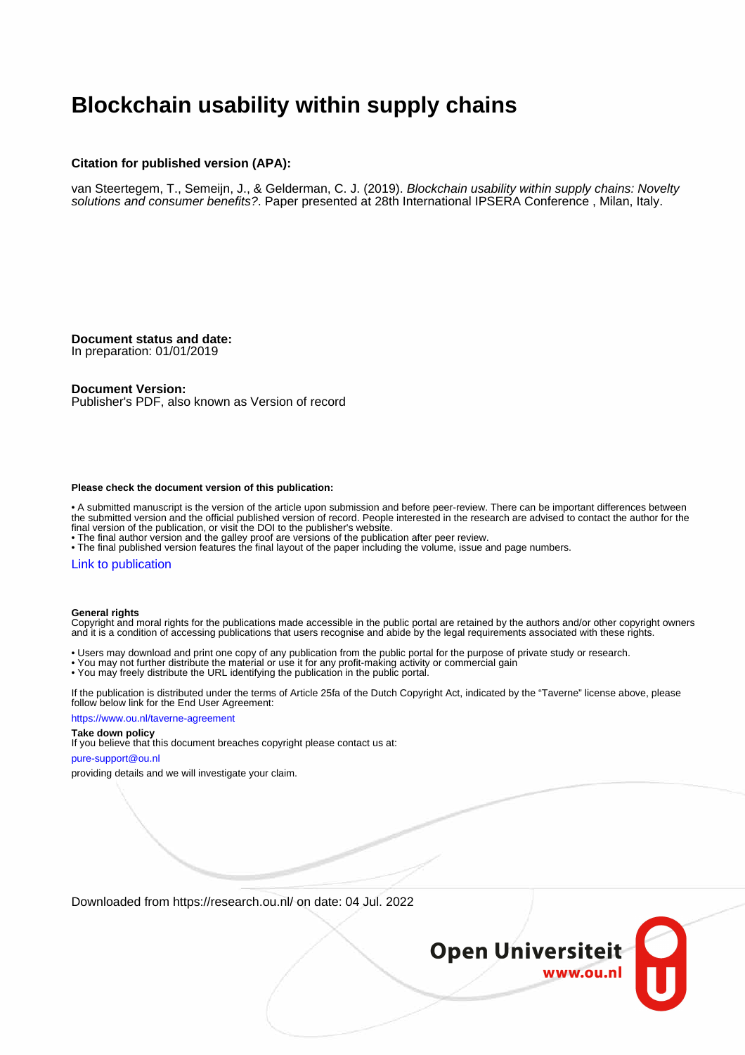# **Blockchain usability within supply chains**

#### **Citation for published version (APA):**

van Steertegem, T., Semeijn, J., & Gelderman, C. J. (2019). Blockchain usability within supply chains: Novelty solutions and consumer benefits?. Paper presented at 28th International IPSERA Conference , Milan, Italy.

**Document status and date:**

In preparation: 01/01/2019

#### **Document Version:**

Publisher's PDF, also known as Version of record

#### **Please check the document version of this publication:**

• A submitted manuscript is the version of the article upon submission and before peer-review. There can be important differences between the submitted version and the official published version of record. People interested in the research are advised to contact the author for the final version of the publication, or visit the DOI to the publisher's website.

• The final author version and the galley proof are versions of the publication after peer review.

• The final published version features the final layout of the paper including the volume, issue and page numbers.

#### [Link to publication](https://research.ou.nl/en/publications/5aa9cf48-8abe-41c6-b62a-285d7ccd1cf5)

#### **General rights**

Copyright and moral rights for the publications made accessible in the public portal are retained by the authors and/or other copyright owners and it is a condition of accessing publications that users recognise and abide by the legal requirements associated with these rights.

- Users may download and print one copy of any publication from the public portal for the purpose of private study or research.
- You may not further distribute the material or use it for any profit-making activity or commercial gain
- You may freely distribute the URL identifying the publication in the public portal.

If the publication is distributed under the terms of Article 25fa of the Dutch Copyright Act, indicated by the "Taverne" license above, please follow below link for the End User Agreement:

#### https://www.ou.nl/taverne-agreement

#### **Take down policy**

If you believe that this document breaches copyright please contact us at:

#### pure-support@ou.nl

providing details and we will investigate your claim.

Downloaded from https://research.ou.nl/ on date: 04 Jul. 2022

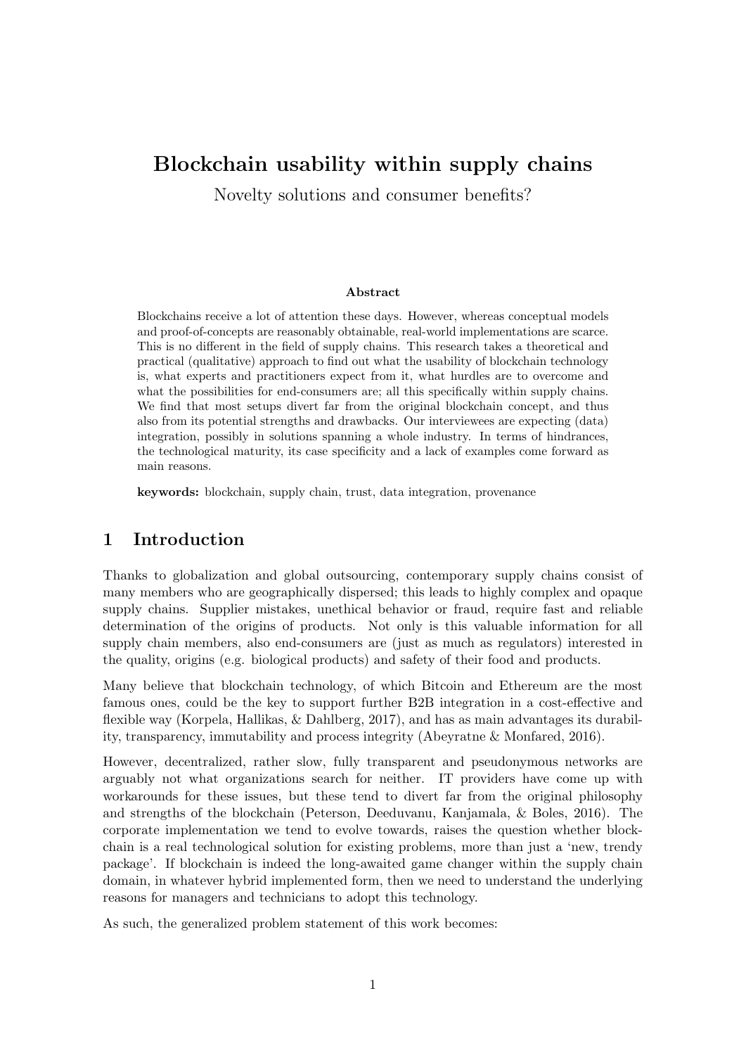# Blockchain usability within supply chains

Novelty solutions and consumer benefits?

#### Abstract

Blockchains receive a lot of attention these days. However, whereas conceptual models and proof-of-concepts are reasonably obtainable, real-world implementations are scarce. This is no different in the field of supply chains. This research takes a theoretical and practical (qualitative) approach to find out what the usability of blockchain technology is, what experts and practitioners expect from it, what hurdles are to overcome and what the possibilities for end-consumers are; all this specifically within supply chains. We find that most setups divert far from the original blockchain concept, and thus also from its potential strengths and drawbacks. Our interviewees are expecting (data) integration, possibly in solutions spanning a whole industry. In terms of hindrances, the technological maturity, its case specificity and a lack of examples come forward as main reasons.

keywords: blockchain, supply chain, trust, data integration, provenance

# 1 Introduction

Thanks to globalization and global outsourcing, contemporary supply chains consist of many members who are geographically dispersed; this leads to highly complex and opaque supply chains. Supplier mistakes, unethical behavior or fraud, require fast and reliable determination of the origins of products. Not only is this valuable information for all supply chain members, also end-consumers are (just as much as regulators) interested in the quality, origins (e.g. biological products) and safety of their food and products.

Many believe that blockchain technology, of which Bitcoin and Ethereum are the most famous ones, could be the key to support further B2B integration in a cost-effective and flexible way [\(Korpela, Hallikas, & Dahlberg, 2017\)](#page-15-0), and has as main advantages its durability, transparency, immutability and process integrity [\(Abeyratne & Monfared, 2016\)](#page-14-0).

However, decentralized, rather slow, fully transparent and pseudonymous networks are arguably not what organizations search for neither. IT providers have come up with workarounds for these issues, but these tend to divert far from the original philosophy and strengths of the blockchain [\(Peterson, Deeduvanu, Kanjamala, & Boles, 2016\)](#page-16-0). The corporate implementation we tend to evolve towards, raises the question whether blockchain is a real technological solution for existing problems, more than just a 'new, trendy package'. If blockchain is indeed the long-awaited game changer within the supply chain domain, in whatever hybrid implemented form, then we need to understand the underlying reasons for managers and technicians to adopt this technology.

As such, the generalized problem statement of this work becomes: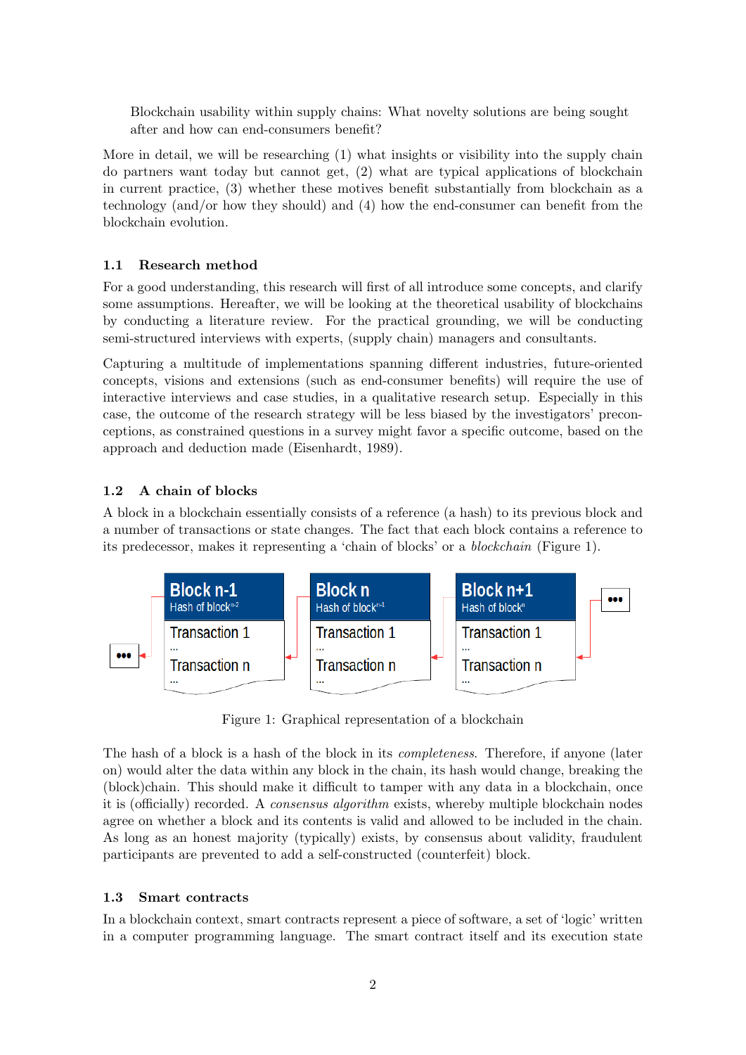Blockchain usability within supply chains: What novelty solutions are being sought after and how can end-consumers benefit?

More in detail, we will be researching (1) what insights or visibility into the supply chain do partners want today but cannot get, (2) what are typical applications of blockchain in current practice, (3) whether these motives benefit substantially from blockchain as a technology (and/or how they should) and (4) how the end-consumer can benefit from the blockchain evolution.

# 1.1 Research method

For a good understanding, this research will first of all introduce some concepts, and clarify some assumptions. Hereafter, we will be looking at the theoretical usability of blockchains by conducting a literature review. For the practical grounding, we will be conducting semi-structured interviews with experts, (supply chain) managers and consultants.

Capturing a multitude of implementations spanning different industries, future-oriented concepts, visions and extensions (such as end-consumer benefits) will require the use of interactive interviews and case studies, in a qualitative research setup. Especially in this case, the outcome of the research strategy will be less biased by the investigators' preconceptions, as constrained questions in a survey might favor a specific outcome, based on the approach and deduction made [\(Eisenhardt, 1989\)](#page-14-1).

# 1.2 A chain of blocks

A block in a blockchain essentially consists of a reference (a hash) to its previous block and a number of transactions or state changes. The fact that each block contains a reference to its predecessor, makes it representing a 'chain of blocks' or a blockchain (Figure [1\)](#page-2-0).

<span id="page-2-0"></span>

Figure 1: Graphical representation of a blockchain

The hash of a block is a hash of the block in its completeness. Therefore, if anyone (later on) would alter the data within any block in the chain, its hash would change, breaking the (block)chain. This should make it difficult to tamper with any data in a blockchain, once it is (officially) recorded. A consensus algorithm exists, whereby multiple blockchain nodes agree on whether a block and its contents is valid and allowed to be included in the chain. As long as an honest majority (typically) exists, by consensus about validity, fraudulent participants are prevented to add a self-constructed (counterfeit) block.

# 1.3 Smart contracts

In a blockchain context, smart contracts represent a piece of software, a set of 'logic' written in a computer programming language. The smart contract itself and its execution state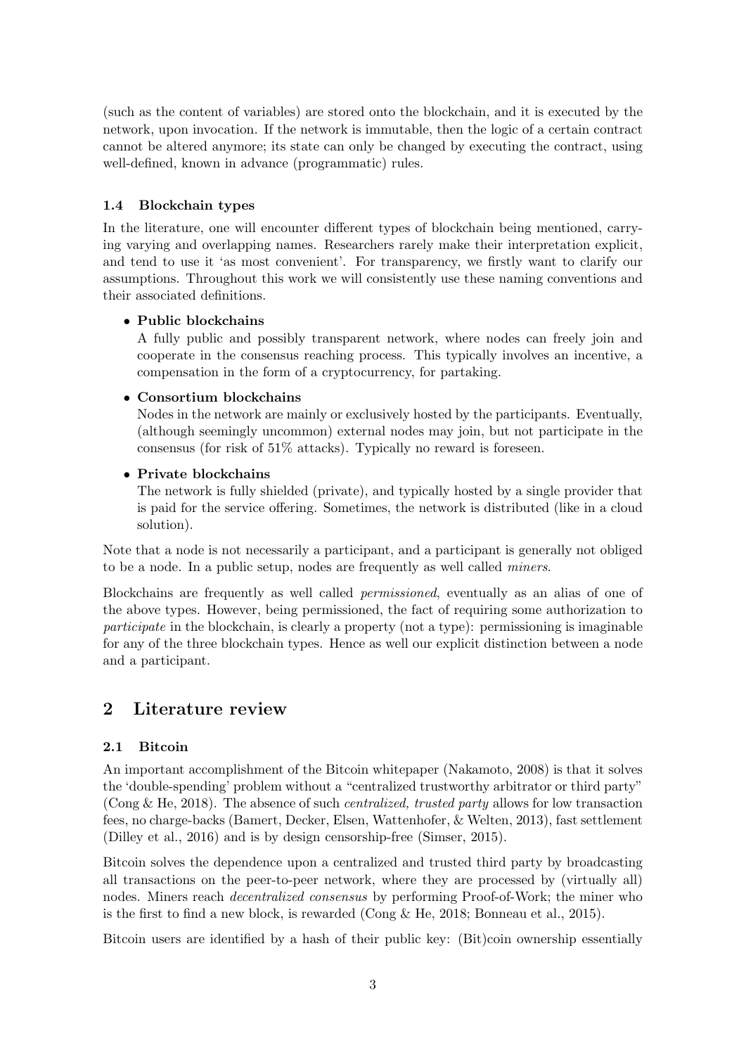(such as the content of variables) are stored onto the blockchain, and it is executed by the network, upon invocation. If the network is immutable, then the logic of a certain contract cannot be altered anymore; its state can only be changed by executing the contract, using well-defined, known in advance (programmatic) rules.

# 1.4 Blockchain types

In the literature, one will encounter different types of blockchain being mentioned, carrying varying and overlapping names. Researchers rarely make their interpretation explicit, and tend to use it 'as most convenient'. For transparency, we firstly want to clarify our assumptions. Throughout this work we will consistently use these naming conventions and their associated definitions.

# • Public blockchains

A fully public and possibly transparent network, where nodes can freely join and cooperate in the consensus reaching process. This typically involves an incentive, a compensation in the form of a cryptocurrency, for partaking.

# • Consortium blockchains

Nodes in the network are mainly or exclusively hosted by the participants. Eventually, (although seemingly uncommon) external nodes may join, but not participate in the consensus (for risk of 51% attacks). Typically no reward is foreseen.

# • Private blockchains

The network is fully shielded (private), and typically hosted by a single provider that is paid for the service offering. Sometimes, the network is distributed (like in a cloud solution).

Note that a node is not necessarily a participant, and a participant is generally not obliged to be a node. In a public setup, nodes are frequently as well called miners.

Blockchains are frequently as well called permissioned, eventually as an alias of one of the above types. However, being permissioned, the fact of requiring some authorization to participate in the blockchain, is clearly a property (not a type): permissioning is imaginable for any of the three blockchain types. Hence as well our explicit distinction between a node and a participant.

# 2 Literature review

# 2.1 Bitcoin

An important accomplishment of the Bitcoin whitepaper [\(Nakamoto, 2008\)](#page-16-1) is that it solves the 'double-spending' problem without a "centralized trustworthy arbitrator or third party" [\(Cong & He, 2018\)](#page-14-2). The absence of such centralized, trusted party allows for low transaction fees, no charge-backs [\(Bamert, Decker, Elsen, Wattenhofer, & Welten, 2013\)](#page-14-3), fast settlement [\(Dilley et al., 2016\)](#page-14-4) and is by design censorship-free [\(Simser, 2015\)](#page-16-2).

Bitcoin solves the dependence upon a centralized and trusted third party by broadcasting all transactions on the peer-to-peer network, where they are processed by (virtually all) nodes. Miners reach decentralized consensus by performing Proof-of-Work; the miner who is the first to find a new block, is rewarded (Cong  $\&$  He, 2018; [Bonneau et al., 2015\)](#page-14-5).

Bitcoin users are identified by a hash of their public key: (Bit)coin ownership essentially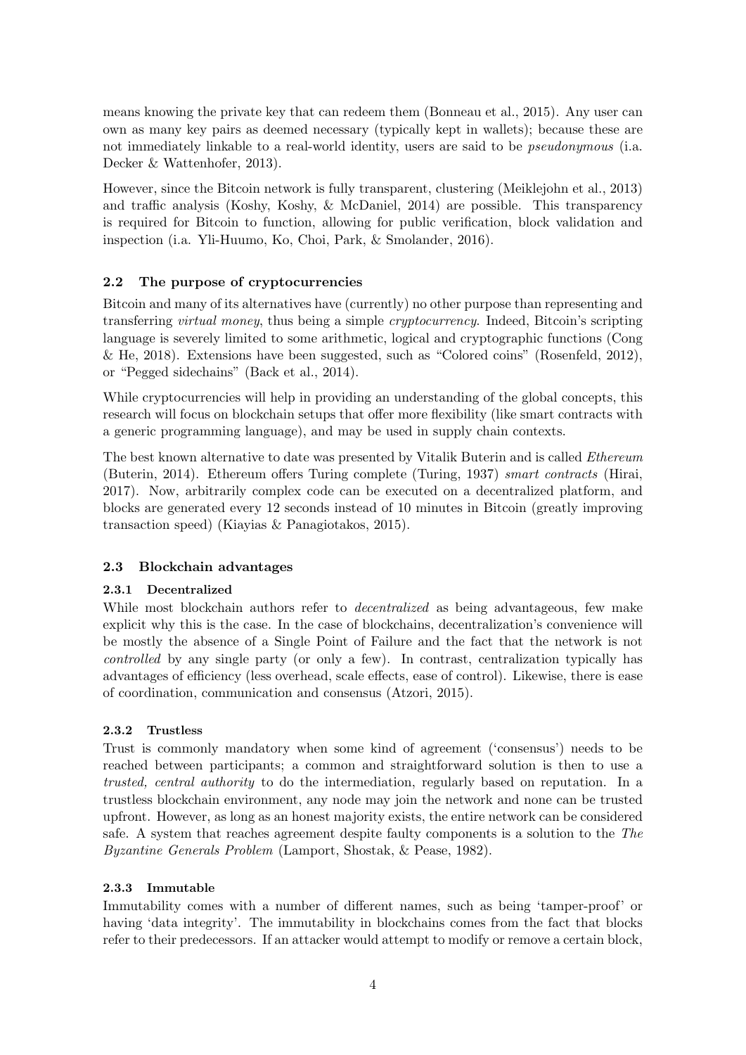means knowing the private key that can redeem them [\(Bonneau et al., 2015\)](#page-14-5). Any user can own as many key pairs as deemed necessary (typically kept in wallets); because these are not immediately linkable to a real-world identity, users are said to be pseudonymous (i.a. [Decker & Wattenhofer, 2013\)](#page-14-6).

However, since the Bitcoin network is fully transparent, clustering [\(Meiklejohn et al., 2013\)](#page-16-3) and traffic analysis [\(Koshy, Koshy, & McDaniel, 2014\)](#page-15-1) are possible. This transparency is required for Bitcoin to function, allowing for public verification, block validation and inspection (i.a. [Yli-Huumo, Ko, Choi, Park, & Smolander, 2016\)](#page-16-4).

# 2.2 The purpose of cryptocurrencies

Bitcoin and many of its alternatives have (currently) no other purpose than representing and transferring virtual money, thus being a simple cryptocurrency. Indeed, Bitcoin's scripting language is severely limited to some arithmetic, logical and cryptographic functions [\(Cong](#page-14-2) [& He, 2018\)](#page-14-2). Extensions have been suggested, such as "Colored coins" [\(Rosenfeld, 2012\)](#page-16-5), or "Pegged sidechains" [\(Back et al., 2014\)](#page-14-7).

While cryptocurrencies will help in providing an understanding of the global concepts, this research will focus on blockchain setups that offer more flexibility (like smart contracts with a generic programming language), and may be used in supply chain contexts.

The best known alternative to date was presented by Vitalik Buterin and is called Ethereum [\(Buterin, 2014\)](#page-14-8). Ethereum offers Turing complete [\(Turing, 1937\)](#page-16-6) smart contracts [\(Hirai,](#page-15-2) [2017\)](#page-15-2). Now, arbitrarily complex code can be executed on a decentralized platform, and blocks are generated every 12 seconds instead of 10 minutes in Bitcoin (greatly improving transaction speed) [\(Kiayias & Panagiotakos, 2015\)](#page-15-3).

# 2.3 Blockchain advantages

# 2.3.1 Decentralized

While most blockchain authors refer to *decentralized* as being advantageous, few make explicit why this is the case. In the case of blockchains, decentralization's convenience will be mostly the absence of a Single Point of Failure and the fact that the network is not controlled by any single party (or only a few). In contrast, centralization typically has advantages of efficiency (less overhead, scale effects, ease of control). Likewise, there is ease of coordination, communication and consensus [\(Atzori, 2015\)](#page-14-9).

# 2.3.2 Trustless

Trust is commonly mandatory when some kind of agreement ('consensus') needs to be reached between participants; a common and straightforward solution is then to use a trusted, central authority to do the intermediation, regularly based on reputation. In a trustless blockchain environment, any node may join the network and none can be trusted upfront. However, as long as an honest majority exists, the entire network can be considered safe. A system that reaches agreement despite faulty components is a solution to the The Byzantine Generals Problem [\(Lamport, Shostak, & Pease, 1982\)](#page-15-4).

# 2.3.3 Immutable

Immutability comes with a number of different names, such as being 'tamper-proof' or having 'data integrity'. The immutability in blockchains comes from the fact that blocks refer to their predecessors. If an attacker would attempt to modify or remove a certain block,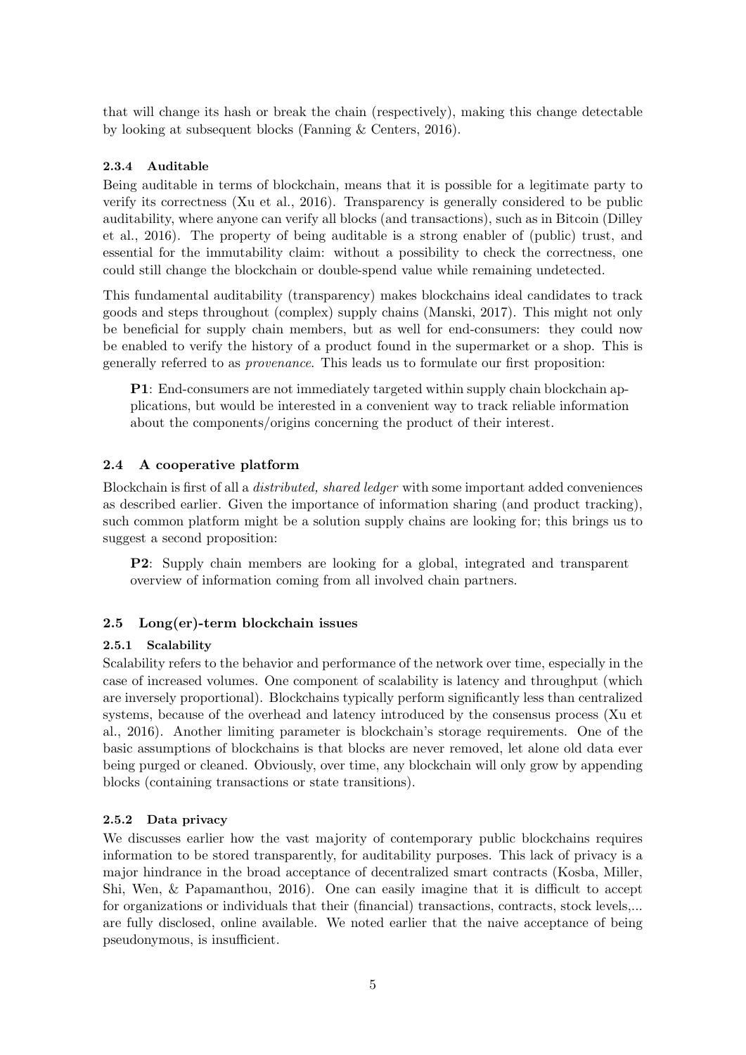that will change its hash or break the chain (respectively), making this change detectable by looking at subsequent blocks [\(Fanning & Centers, 2016\)](#page-15-5).

# 2.3.4 Auditable

Being auditable in terms of blockchain, means that it is possible for a legitimate party to verify its correctness [\(Xu et al., 2016\)](#page-16-7). Transparency is generally considered to be public auditability, where anyone can verify all blocks (and transactions), such as in Bitcoin [\(Dilley](#page-14-4) [et al., 2016\)](#page-14-4). The property of being auditable is a strong enabler of (public) trust, and essential for the immutability claim: without a possibility to check the correctness, one could still change the blockchain or double-spend value while remaining undetected.

This fundamental auditability (transparency) makes blockchains ideal candidates to track goods and steps throughout (complex) supply chains [\(Manski, 2017\)](#page-15-6). This might not only be beneficial for supply chain members, but as well for end-consumers: they could now be enabled to verify the history of a product found in the supermarket or a shop. This is generally referred to as provenance. This leads us to formulate our first proposition:

P1: End-consumers are not immediately targeted within supply chain blockchain applications, but would be interested in a convenient way to track reliable information about the components/origins concerning the product of their interest.

# 2.4 A cooperative platform

Blockchain is first of all a distributed, shared ledger with some important added conveniences as described earlier. Given the importance of information sharing (and product tracking), such common platform might be a solution supply chains are looking for; this brings us to suggest a second proposition:

P2: Supply chain members are looking for a global, integrated and transparent overview of information coming from all involved chain partners.

# 2.5 Long(er)-term blockchain issues

# 2.5.1 Scalability

Scalability refers to the behavior and performance of the network over time, especially in the case of increased volumes. One component of scalability is latency and throughput (which are inversely proportional). Blockchains typically perform significantly less than centralized systems, because of the overhead and latency introduced by the consensus process [\(Xu et](#page-16-7) [al., 2016\)](#page-16-7). Another limiting parameter is blockchain's storage requirements. One of the basic assumptions of blockchains is that blocks are never removed, let alone old data ever being purged or cleaned. Obviously, over time, any blockchain will only grow by appending blocks (containing transactions or state transitions).

# 2.5.2 Data privacy

We discusses earlier how the vast majority of contemporary public blockchains requires information to be stored transparently, for auditability purposes. This lack of privacy is a major hindrance in the broad acceptance of decentralized smart contracts [\(Kosba, Miller,](#page-15-7) [Shi, Wen, & Papamanthou, 2016\)](#page-15-7). One can easily imagine that it is difficult to accept for organizations or individuals that their (financial) transactions, contracts, stock levels,... are fully disclosed, online available. We noted earlier that the naive acceptance of being pseudonymous, is insufficient.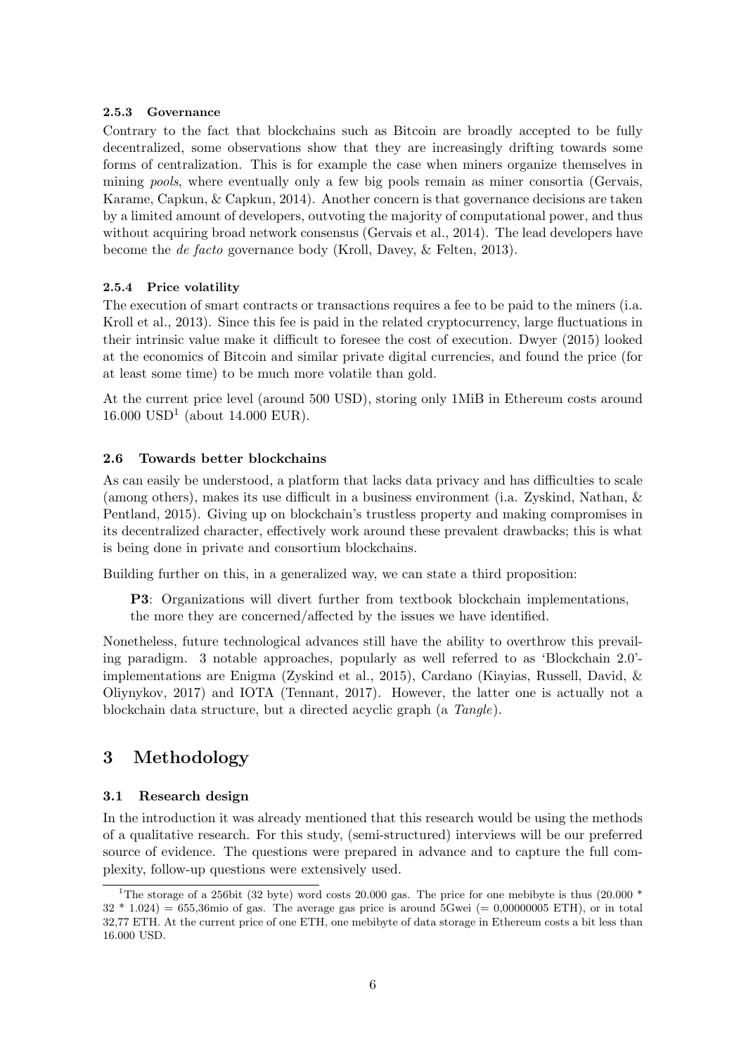#### 2.5.3 Governance

Contrary to the fact that blockchains such as Bitcoin are broadly accepted to be fully decentralized, some observations show that they are increasingly drifting towards some forms of centralization. This is for example the case when miners organize themselves in mining pools, where eventually only a few big pools remain as miner consortia [\(Gervais,](#page-15-8) [Karame, Capkun, & Capkun, 2014\)](#page-15-8). Another concern is that governance decisions are taken by a limited amount of developers, outvoting the majority of computational power, and thus without acquiring broad network consensus [\(Gervais et al., 2014\)](#page-15-8). The lead developers have become the de facto governance body [\(Kroll, Davey, & Felten, 2013\)](#page-15-9).

# 2.5.4 Price volatility

The execution of smart contracts or transactions requires a fee to be paid to the miners (i.a. [Kroll et al., 2013\)](#page-15-9). Since this fee is paid in the related cryptocurrency, large fluctuations in their intrinsic value make it difficult to foresee the cost of execution. [Dwyer](#page-14-10) [\(2015\)](#page-14-10) looked at the economics of Bitcoin and similar private digital currencies, and found the price (for at least some time) to be much more volatile than gold.

At the current price level (around 500 USD), storing only 1MiB in Ethereum costs around  $16.000 \text{ USD}^1$  $16.000 \text{ USD}^1$  (about 14.000 EUR).

# 2.6 Towards better blockchains

As can easily be understood, a platform that lacks data privacy and has difficulties to scale (among others), makes its use difficult in a business environment (i.a. [Zyskind, Nathan, &](#page-16-8) [Pentland, 2015\)](#page-16-8). Giving up on blockchain's trustless property and making compromises in its decentralized character, effectively work around these prevalent drawbacks; this is what is being done in private and consortium blockchains.

Building further on this, in a generalized way, we can state a third proposition:

P3: Organizations will divert further from textbook blockchain implementations, the more they are concerned/affected by the issues we have identified.

Nonetheless, future technological advances still have the ability to overthrow this prevailing paradigm. 3 notable approaches, popularly as well referred to as 'Blockchain 2.0' implementations are Enigma [\(Zyskind et al., 2015\)](#page-16-8), Cardano [\(Kiayias, Russell, David, &](#page-15-10) [Oliynykov, 2017\)](#page-15-10) and IOTA [\(Tennant, 2017\)](#page-16-9). However, the latter one is actually not a blockchain data structure, but a directed acyclic graph (a Tangle).

# 3 Methodology

# 3.1 Research design

In the introduction it was already mentioned that this research would be using the methods of a qualitative research. For this study, (semi-structured) interviews will be our preferred source of evidence. The questions were prepared in advance and to capture the full complexity, follow-up questions were extensively used.

<span id="page-6-0"></span><sup>&</sup>lt;sup>1</sup>The storage of a 256bit (32 byte) word costs 20.000 gas. The price for one mebibyte is thus (20.000  $*$  $32 * 1.024 = 655,36$  mio of gas. The average gas price is around 5Gwei (= 0,00000005 ETH), or in total 32,77 ETH. At the current price of one ETH, one mebibyte of data storage in Ethereum costs a bit less than 16.000 USD.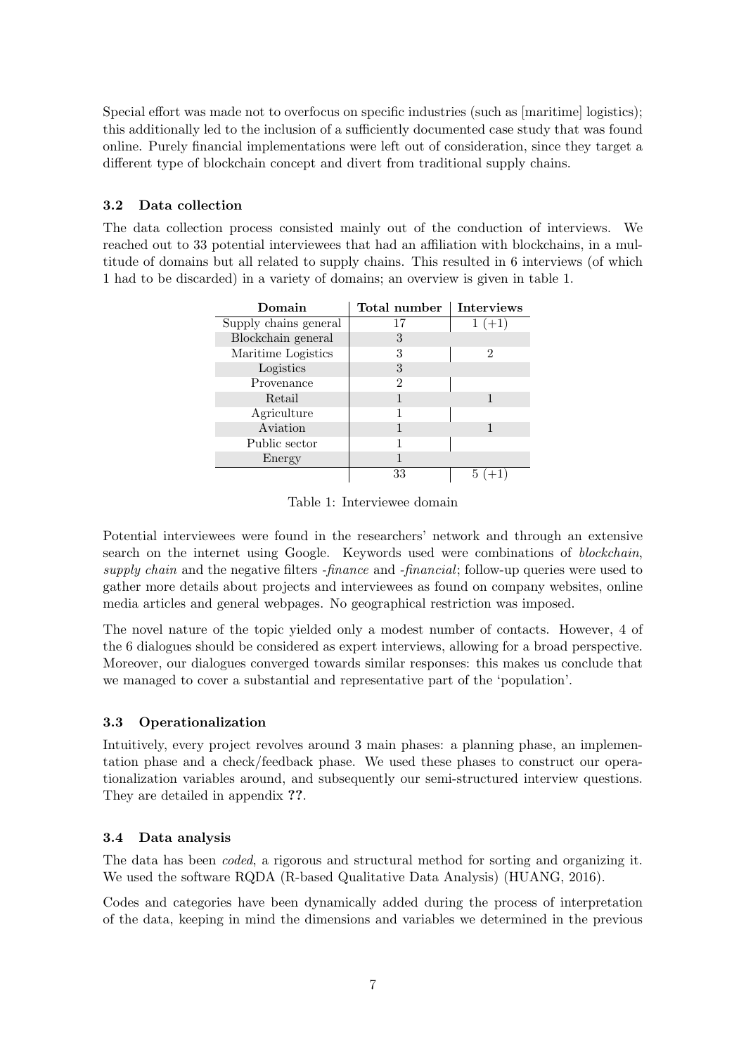Special effort was made not to overfocus on specific industries (such as [maritime] logistics); this additionally led to the inclusion of a sufficiently documented case study that was found online. Purely financial implementations were left out of consideration, since they target a different type of blockchain concept and divert from traditional supply chains.

# 3.2 Data collection

<span id="page-7-0"></span>The data collection process consisted mainly out of the conduction of interviews. We reached out to 33 potential interviewees that had an affiliation with blockchains, in a multitude of domains but all related to supply chains. This resulted in 6 interviews (of which 1 had to be discarded) in a variety of domains; an overview is given in table [1.](#page-7-0)

| Domain                | Total number   | <b>Interviews</b> |
|-----------------------|----------------|-------------------|
| Supply chains general | 17             | $1 (+1)$          |
| Blockchain general    | 3              |                   |
| Maritime Logistics    | 3              | 2                 |
| Logistics             | 3              |                   |
| Provenance            | $\mathfrak{D}$ |                   |
| Retail                |                |                   |
| Agriculture           |                |                   |
| Aviation              |                |                   |
| Public sector         |                |                   |
| Energy                |                |                   |
|                       | 33             |                   |

Table 1: Interviewee domain

Potential interviewees were found in the researchers' network and through an extensive search on the internet using Google. Keywords used were combinations of *blockchain*, supply chain and the negative filters -finance and -financial; follow-up queries were used to gather more details about projects and interviewees as found on company websites, online media articles and general webpages. No geographical restriction was imposed.

The novel nature of the topic yielded only a modest number of contacts. However, 4 of the 6 dialogues should be considered as expert interviews, allowing for a broad perspective. Moreover, our dialogues converged towards similar responses: this makes us conclude that we managed to cover a substantial and representative part of the 'population'.

# 3.3 Operationalization

Intuitively, every project revolves around 3 main phases: a planning phase, an implementation phase and a check/feedback phase. We used these phases to construct our operationalization variables around, and subsequently our semi-structured interview questions. They are detailed in appendix ??.

# 3.4 Data analysis

The data has been coded, a rigorous and structural method for sorting and organizing it. We used the software RQDA (R-based Qualitative Data Analysis) [\(HUANG, 2016\)](#page-15-11).

Codes and categories have been dynamically added during the process of interpretation of the data, keeping in mind the dimensions and variables we determined in the previous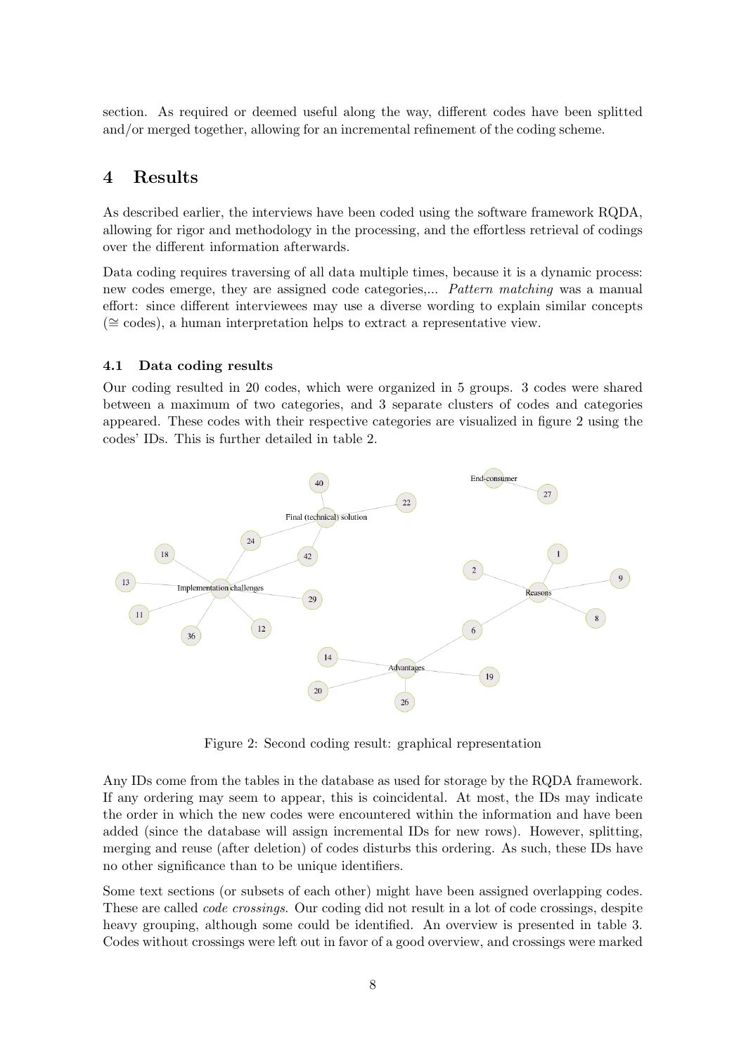section. As required or deemed useful along the way, different codes have been splitted and/or merged together, allowing for an incremental refinement of the coding scheme.

# 4 Results

As described earlier, the interviews have been coded using the software framework RQDA, allowing for rigor and methodology in the processing, and the effortless retrieval of codings over the different information afterwards.

Data coding requires traversing of all data multiple times, because it is a dynamic process: new codes emerge, they are assigned code categories,... Pattern matching was a manual effort: since different interviewees may use a diverse wording to explain similar concepts (∼= codes), a human interpretation helps to extract a representative view.

#### 4.1 Data coding results

Our coding resulted in 20 codes, which were organized in 5 groups. 3 codes were shared between a maximum of two categories, and 3 separate clusters of codes and categories appeared. These codes with their respective categories are visualized in figure [2](#page-8-0) using the codes' IDs. This is further detailed in table [2.](#page-9-0)

<span id="page-8-0"></span>

Figure 2: Second coding result: graphical representation

Any IDs come from the tables in the database as used for storage by the RQDA framework. If any ordering may seem to appear, this is coincidental. At most, the IDs may indicate the order in which the new codes were encountered within the information and have been added (since the database will assign incremental IDs for new rows). However, splitting, merging and reuse (after deletion) of codes disturbs this ordering. As such, these IDs have no other significance than to be unique identifiers.

Some text sections (or subsets of each other) might have been assigned overlapping codes. These are called code crossings. Our coding did not result in a lot of code crossings, despite heavy grouping, although some could be identified. An overview is presented in table [3.](#page-9-1) Codes without crossings were left out in favor of a good overview, and crossings were marked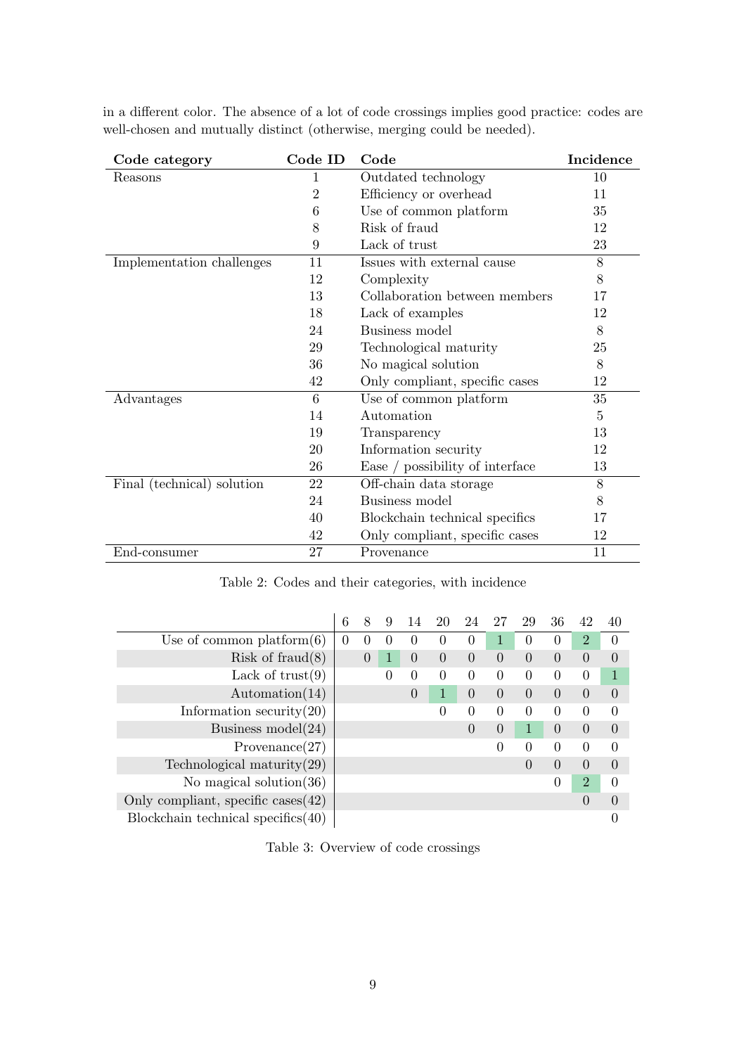<span id="page-9-0"></span>

| Code category              | Code ID        | Code                            | Incidence |
|----------------------------|----------------|---------------------------------|-----------|
| Reasons                    | 1              | Outdated technology             | 10        |
|                            | $\overline{2}$ | Efficiency or overhead          | 11        |
|                            | 6              | Use of common platform          | 35        |
|                            | 8              | Risk of fraud                   | 12        |
|                            | 9              | Lack of trust                   | 23        |
| Implementation challenges  | 11             | Issues with external cause      | 8         |
|                            | 12             | Complexity                      | 8         |
|                            | 13             | Collaboration between members   | 17        |
|                            | 18             | Lack of examples                | 12        |
|                            | 24             | Business model                  | 8         |
|                            | 29             | Technological maturity          | 25        |
|                            | 36             | No magical solution             | 8         |
|                            | 42             | Only compliant, specific cases  | 12        |
| Advantages                 | 6              | Use of common platform          | 35        |
|                            | 14             | Automation                      | 5         |
|                            | 19             | Transparency                    | 13        |
|                            | 20             | Information security            | 12        |
|                            | 26             | Ease / possibility of interface | 13        |
| Final (technical) solution | 22             | Off-chain data storage          | 8         |
|                            | 24             | Business model                  | 8         |
|                            | 40             | Blockchain technical specifics  | 17        |
|                            | 42             | Only compliant, specific cases  | 12        |
| End-consumer               | 27             | Provenance                      | 11        |

in a different color. The absence of a lot of code crossings implies good practice: codes are well-chosen and mutually distinct (otherwise, merging could be needed).

Table 2: Codes and their categories, with incidence

<span id="page-9-1"></span>

|                                       | 6        | 8        | 9        | 14       | 20       | 24       | 27             | 29       | 36             | 42             | 40       |
|---------------------------------------|----------|----------|----------|----------|----------|----------|----------------|----------|----------------|----------------|----------|
| Use of common platform $(6)$          | $\theta$ | 0        | $\Omega$ | $\Omega$ | $\Omega$ | $\Omega$ | 1              | $\Omega$ | $\Omega$       | $\overline{2}$ | $\Omega$ |
| Risk of $\text{fraud}(8)$             |          | $\theta$ | 1        | $\Omega$ | $\Omega$ | $\Omega$ | $\Omega$       | $\theta$ | $\theta$       | $\Omega$       | $\Omega$ |
| Lack of $trust(9)$                    |          |          | $\Omega$ | $\Omega$ | $\Omega$ | $\theta$ | $\Omega$       | $\Omega$ | $\Omega$       | $\Omega$       |          |
| $\text{Automation}(14)$               |          |          |          | $\theta$ | 1        | $\Omega$ | $\Omega$       | $\Omega$ | $\Omega$       | $\Omega$       | $\Omega$ |
| Information security $(20)$           |          |          |          |          | $\theta$ | $\theta$ | $\Omega$       | $\theta$ | $\Omega$       | $\Omega$       | $\Omega$ |
| Business model $(24)$                 |          |          |          |          |          | $\Omega$ | $\overline{0}$ | 1        | $\theta$       | $\Omega$       | $\Omega$ |
| Provenance(27)                        |          |          |          |          |          |          | $\Omega$       | $\Omega$ | $\theta$       | $\Omega$       | $\Omega$ |
| Technological maturity $(29)$         |          |          |          |          |          |          |                | $\theta$ | $\theta$       | $\Omega$       | $\Omega$ |
| No magical solution $(36)$            |          |          |          |          |          |          |                |          | $\overline{0}$ | $\overline{2}$ | $\Omega$ |
| Only compliant, specific cases $(42)$ |          |          |          |          |          |          |                |          |                | $\Omega$       | $\theta$ |
| Blockchain technical specifics $(40)$ |          |          |          |          |          |          |                |          |                |                |          |

Table 3: Overview of code crossings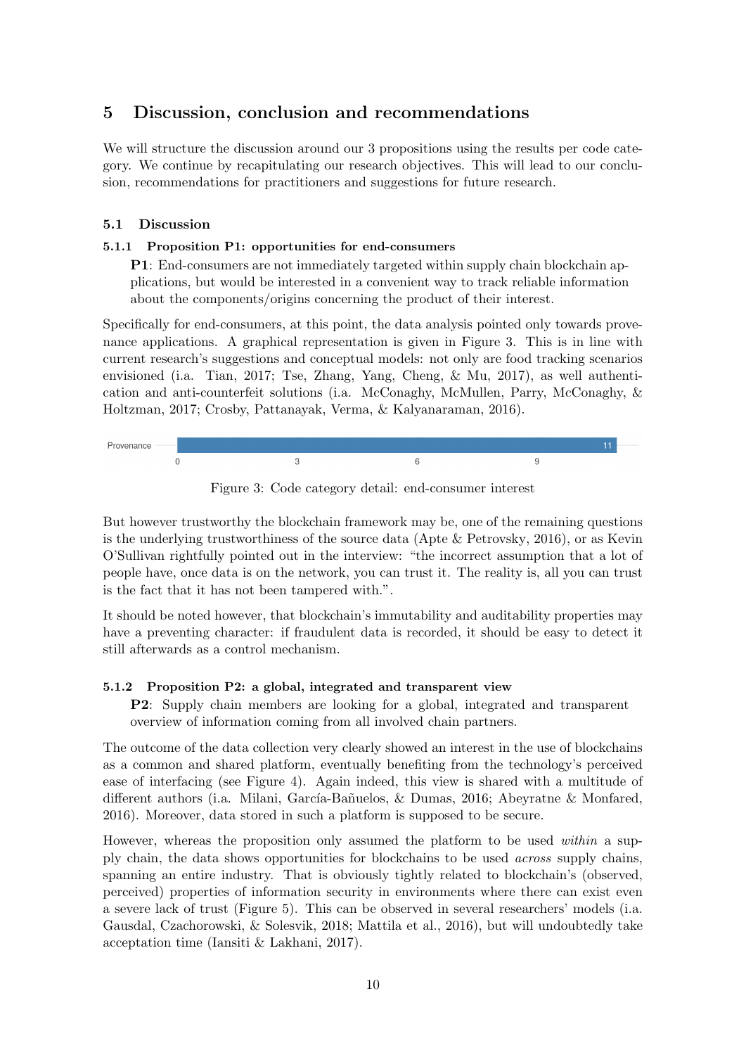# 5 Discussion, conclusion and recommendations

We will structure the discussion around our 3 propositions using the results per code category. We continue by recapitulating our research objectives. This will lead to our conclusion, recommendations for practitioners and suggestions for future research.

# 5.1 Discussion

# 5.1.1 Proposition P1: opportunities for end-consumers

P1: End-consumers are not immediately targeted within supply chain blockchain applications, but would be interested in a convenient way to track reliable information about the components/origins concerning the product of their interest.

Specifically for end-consumers, at this point, the data analysis pointed only towards provenance applications. A graphical representation is given in Figure [3.](#page-10-0) This is in line with current research's suggestions and conceptual models: not only are food tracking scenarios envisioned (i.a. [Tian, 2017;](#page-16-10) [Tse, Zhang, Yang, Cheng, & Mu, 2017\)](#page-16-11), as well authentication and anti-counterfeit solutions (i.a. [McConaghy, McMullen, Parry, McConaghy, &](#page-16-12) [Holtzman, 2017;](#page-16-12) [Crosby, Pattanayak, Verma, & Kalyanaraman, 2016\)](#page-14-11).

<span id="page-10-0"></span>

Figure 3: Code category detail: end-consumer interest

But however trustworthy the blockchain framework may be, one of the remaining questions is the underlying trustworthiness of the source data [\(Apte & Petrovsky, 2016\)](#page-14-12), or as Kevin O'Sullivan rightfully pointed out in the interview: "the incorrect assumption that a lot of people have, once data is on the network, you can trust it. The reality is, all you can trust is the fact that it has not been tampered with.".

It should be noted however, that blockchain's immutability and auditability properties may have a preventing character: if fraudulent data is recorded, it should be easy to detect it still afterwards as a control mechanism.

# 5.1.2 Proposition P2: a global, integrated and transparent view

P2: Supply chain members are looking for a global, integrated and transparent overview of information coming from all involved chain partners.

The outcome of the data collection very clearly showed an interest in the use of blockchains as a common and shared platform, eventually benefiting from the technology's perceived ease of interfacing (see Figure [4\)](#page-11-0). Again indeed, this view is shared with a multitude of different authors (i.a. Milani, García-Bañuelos, & Dumas, 2016; [Abeyratne & Monfared,](#page-14-0) [2016\)](#page-14-0). Moreover, data stored in such a platform is supposed to be secure.

However, whereas the proposition only assumed the platform to be used within a supply chain, the data shows opportunities for blockchains to be used across supply chains, spanning an entire industry. That is obviously tightly related to blockchain's (observed, perceived) properties of information security in environments where there can exist even a severe lack of trust (Figure [5\)](#page-11-1). This can be observed in several researchers' models (i.a. [Gausdal, Czachorowski, & Solesvik, 2018;](#page-15-12) [Mattila et al., 2016\)](#page-15-13), but will undoubtedly take acceptation time [\(Iansiti & Lakhani, 2017\)](#page-15-14).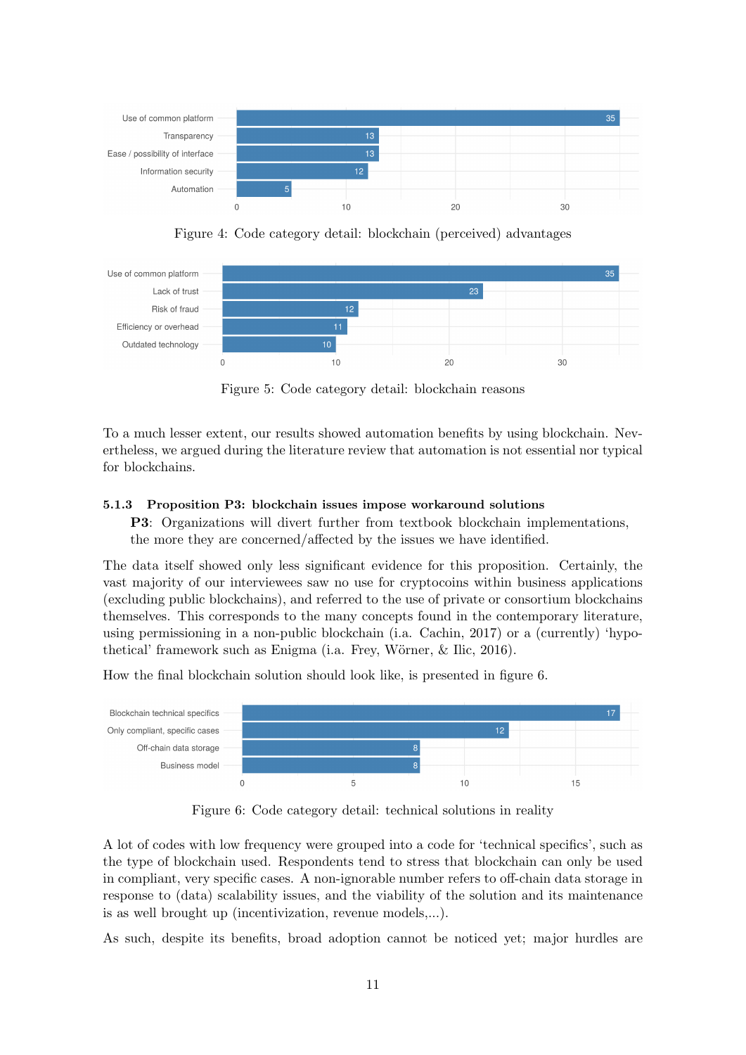<span id="page-11-0"></span>

Figure 4: Code category detail: blockchain (perceived) advantages

<span id="page-11-1"></span>

Figure 5: Code category detail: blockchain reasons

To a much lesser extent, our results showed automation benefits by using blockchain. Nevertheless, we argued during the literature review that automation is not essential nor typical for blockchains.

#### 5.1.3 Proposition P3: blockchain issues impose workaround solutions

P3: Organizations will divert further from textbook blockchain implementations, the more they are concerned/affected by the issues we have identified.

The data itself showed only less significant evidence for this proposition. Certainly, the vast majority of our interviewees saw no use for cryptocoins within business applications (excluding public blockchains), and referred to the use of private or consortium blockchains themselves. This corresponds to the many concepts found in the contemporary literature, using permissioning in a non-public blockchain (i.a. [Cachin, 2017\)](#page-14-13) or a (currently) 'hypothetical' framework such as Enigma (i.a. Frey, Wörner,  $\&$  Ilic, 2016).

How the final blockchain solution should look like, is presented in figure [6.](#page-11-2)

<span id="page-11-2"></span>

Figure 6: Code category detail: technical solutions in reality

A lot of codes with low frequency were grouped into a code for 'technical specifics', such as the type of blockchain used. Respondents tend to stress that blockchain can only be used in compliant, very specific cases. A non-ignorable number refers to off-chain data storage in response to (data) scalability issues, and the viability of the solution and its maintenance is as well brought up (incentivization, revenue models,...).

As such, despite its benefits, broad adoption cannot be noticed yet; major hurdles are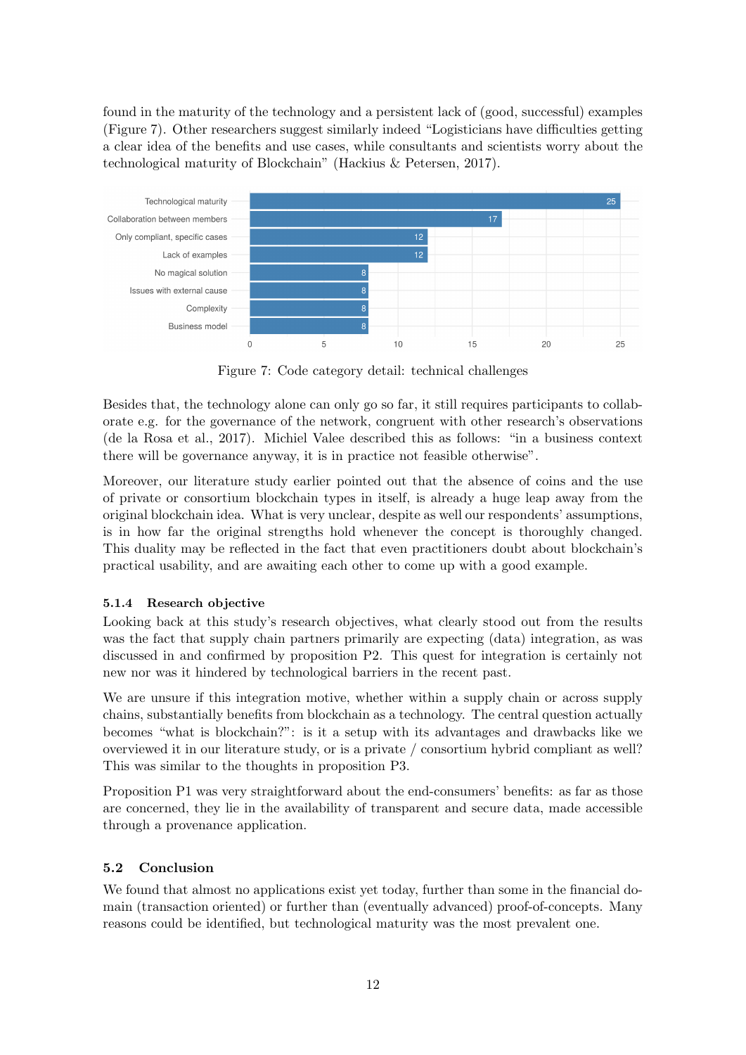found in the maturity of the technology and a persistent lack of (good, successful) examples (Figure [7\)](#page-12-0). Other researchers suggest similarly indeed "Logisticians have difficulties getting a clear idea of the benefits and use cases, while consultants and scientists worry about the technological maturity of Blockchain" [\(Hackius & Petersen, 2017\)](#page-15-16).

<span id="page-12-0"></span>

Figure 7: Code category detail: technical challenges

Besides that, the technology alone can only go so far, it still requires participants to collaborate e.g. for the governance of the network, congruent with other research's observations [\(de la Rosa et al., 2017\)](#page-14-14). Michiel Valee described this as follows: "in a business context there will be governance anyway, it is in practice not feasible otherwise".

Moreover, our literature study earlier pointed out that the absence of coins and the use of private or consortium blockchain types in itself, is already a huge leap away from the original blockchain idea. What is very unclear, despite as well our respondents' assumptions, is in how far the original strengths hold whenever the concept is thoroughly changed. This duality may be reflected in the fact that even practitioners doubt about blockchain's practical usability, and are awaiting each other to come up with a good example.

# 5.1.4 Research objective

Looking back at this study's research objectives, what clearly stood out from the results was the fact that supply chain partners primarily are expecting (data) integration, as was discussed in and confirmed by proposition P2. This quest for integration is certainly not new nor was it hindered by technological barriers in the recent past.

We are unsure if this integration motive, whether within a supply chain or across supply chains, substantially benefits from blockchain as a technology. The central question actually becomes "what is blockchain?": is it a setup with its advantages and drawbacks like we overviewed it in our literature study, or is a private / consortium hybrid compliant as well? This was similar to the thoughts in proposition P3.

Proposition P1 was very straightforward about the end-consumers' benefits: as far as those are concerned, they lie in the availability of transparent and secure data, made accessible through a provenance application.

# 5.2 Conclusion

We found that almost no applications exist yet today, further than some in the financial domain (transaction oriented) or further than (eventually advanced) proof-of-concepts. Many reasons could be identified, but technological maturity was the most prevalent one.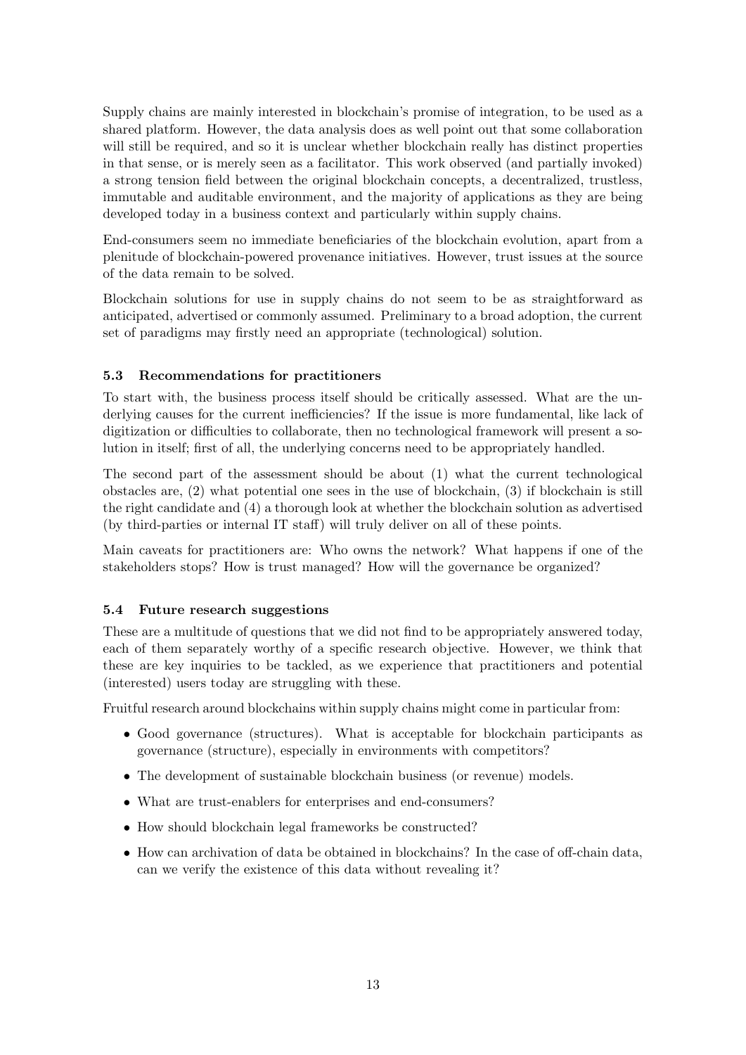Supply chains are mainly interested in blockchain's promise of integration, to be used as a shared platform. However, the data analysis does as well point out that some collaboration will still be required, and so it is unclear whether blockchain really has distinct properties in that sense, or is merely seen as a facilitator. This work observed (and partially invoked) a strong tension field between the original blockchain concepts, a decentralized, trustless, immutable and auditable environment, and the majority of applications as they are being developed today in a business context and particularly within supply chains.

End-consumers seem no immediate beneficiaries of the blockchain evolution, apart from a plenitude of blockchain-powered provenance initiatives. However, trust issues at the source of the data remain to be solved.

Blockchain solutions for use in supply chains do not seem to be as straightforward as anticipated, advertised or commonly assumed. Preliminary to a broad adoption, the current set of paradigms may firstly need an appropriate (technological) solution.

# 5.3 Recommendations for practitioners

To start with, the business process itself should be critically assessed. What are the underlying causes for the current inefficiencies? If the issue is more fundamental, like lack of digitization or difficulties to collaborate, then no technological framework will present a solution in itself; first of all, the underlying concerns need to be appropriately handled.

The second part of the assessment should be about (1) what the current technological obstacles are, (2) what potential one sees in the use of blockchain, (3) if blockchain is still the right candidate and (4) a thorough look at whether the blockchain solution as advertised (by third-parties or internal IT staff) will truly deliver on all of these points.

Main caveats for practitioners are: Who owns the network? What happens if one of the stakeholders stops? How is trust managed? How will the governance be organized?

# 5.4 Future research suggestions

These are a multitude of questions that we did not find to be appropriately answered today, each of them separately worthy of a specific research objective. However, we think that these are key inquiries to be tackled, as we experience that practitioners and potential (interested) users today are struggling with these.

Fruitful research around blockchains within supply chains might come in particular from:

- Good governance (structures). What is acceptable for blockchain participants as governance (structure), especially in environments with competitors?
- The development of sustainable blockchain business (or revenue) models.
- What are trust-enablers for enterprises and end-consumers?
- How should blockchain legal frameworks be constructed?
- How can archivation of data be obtained in blockchains? In the case of off-chain data, can we verify the existence of this data without revealing it?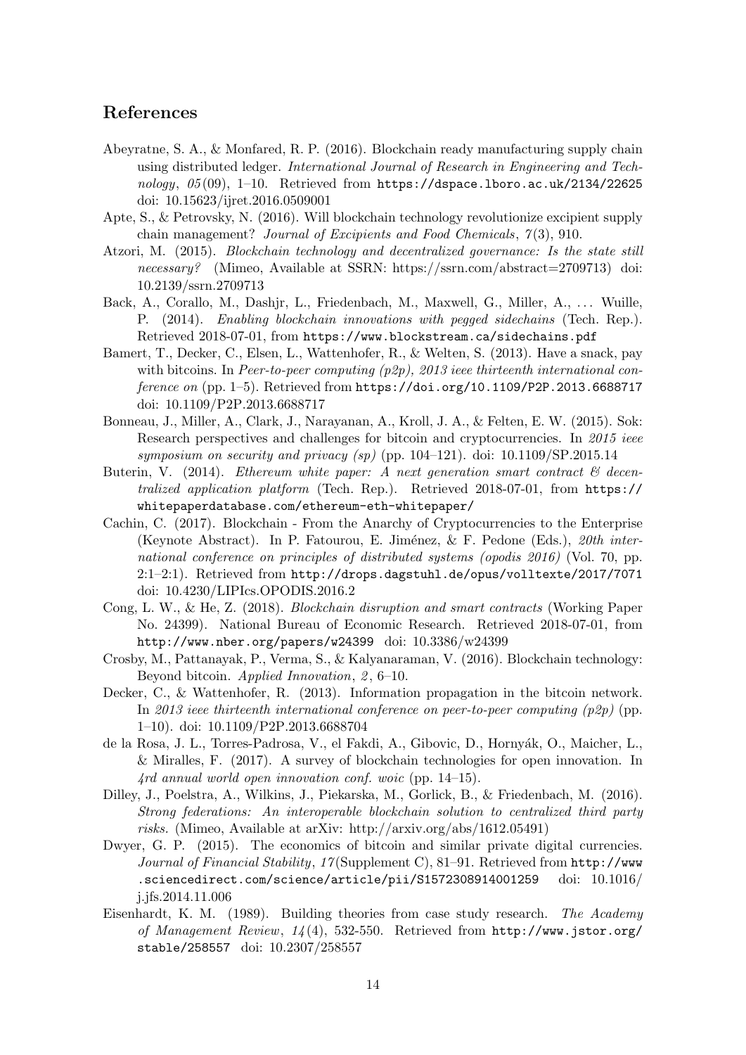# References

- <span id="page-14-0"></span>Abeyratne, S. A., & Monfared, R. P. (2016). Blockchain ready manufacturing supply chain using distributed ledger. International Journal of Research in Engineering and Technology,  $05(09)$ , 1-10. Retrieved from <https://dspace.lboro.ac.uk/2134/22625> doi: 10.15623/ijret.2016.0509001
- <span id="page-14-12"></span>Apte, S., & Petrovsky, N. (2016). Will blockchain technology revolutionize excipient supply chain management? Journal of Excipients and Food Chemicals,  $7(3)$ , 910.
- <span id="page-14-9"></span>Atzori, M. (2015). Blockchain technology and decentralized governance: Is the state still necessary? (Mimeo, Available at SSRN: https://ssrn.com/abstract=2709713) doi: 10.2139/ssrn.2709713
- <span id="page-14-7"></span>Back, A., Corallo, M., Dashjr, L., Friedenbach, M., Maxwell, G., Miller, A., . . . Wuille, P. (2014). Enabling blockchain innovations with pegged sidechains (Tech. Rep.). Retrieved 2018-07-01, from <https://www.blockstream.ca/sidechains.pdf>
- <span id="page-14-3"></span>Bamert, T., Decker, C., Elsen, L., Wattenhofer, R., & Welten, S. (2013). Have a snack, pay with bitcoins. In Peer-to-peer computing  $(p2p)$ , 2013 ieee thirteenth international conference on (pp. 1–5). Retrieved from <https://doi.org/10.1109/P2P.2013.6688717> doi: 10.1109/P2P.2013.6688717
- <span id="page-14-5"></span>Bonneau, J., Miller, A., Clark, J., Narayanan, A., Kroll, J. A., & Felten, E. W. (2015). Sok: Research perspectives and challenges for bitcoin and cryptocurrencies. In 2015 ieee symposium on security and privacy  $(sp)$  (pp. 104–121). doi: 10.1109/SP.2015.14
- <span id="page-14-8"></span>Buterin, V. (2014). Ethereum white paper: A next generation smart contract  $\mathcal C$  decentralized application platform (Tech. Rep.). Retrieved 2018-07-01, from [https://](https://whitepaperdatabase.com/ethereum-eth-whitepaper/) [whitepaperdatabase.com/ethereum-eth-whitepaper/](https://whitepaperdatabase.com/ethereum-eth-whitepaper/)
- <span id="page-14-13"></span>Cachin, C. (2017). Blockchain - From the Anarchy of Cryptocurrencies to the Enterprise (Keynote Abstract). In P. Fatourou, E. Jiménez,  $\&$  F. Pedone (Eds.), 20th international conference on principles of distributed systems (opodis 2016) (Vol. 70, pp. 2:1–2:1). Retrieved from <http://drops.dagstuhl.de/opus/volltexte/2017/7071> doi: 10.4230/LIPIcs.OPODIS.2016.2
- <span id="page-14-2"></span>Cong, L. W., & He, Z. (2018). Blockchain disruption and smart contracts (Working Paper No. 24399). National Bureau of Economic Research. Retrieved 2018-07-01, from <http://www.nber.org/papers/w24399> doi: 10.3386/w24399
- <span id="page-14-11"></span>Crosby, M., Pattanayak, P., Verma, S., & Kalyanaraman, V. (2016). Blockchain technology: Beyond bitcoin. Applied Innovation, 2, 6–10.
- <span id="page-14-6"></span>Decker, C., & Wattenhofer, R. (2013). Information propagation in the bitcoin network. In 2013 ieee thirteenth international conference on peer-to-peer computing  $(p2p)$  (pp. 1–10). doi: 10.1109/P2P.2013.6688704
- <span id="page-14-14"></span>de la Rosa, J. L., Torres-Padrosa, V., el Fakdi, A., Gibovic, D., Hornyák, O., Maicher, L., & Miralles, F. (2017). A survey of blockchain technologies for open innovation. In 4rd annual world open innovation conf. woic (pp. 14–15).
- <span id="page-14-4"></span>Dilley, J., Poelstra, A., Wilkins, J., Piekarska, M., Gorlick, B., & Friedenbach, M. (2016). Strong federations: An interoperable blockchain solution to centralized third party risks. (Mimeo, Available at arXiv: http://arxiv.org/abs/1612.05491)
- <span id="page-14-10"></span>Dwyer, G. P. (2015). The economics of bitcoin and similar private digital currencies. Journal of Financial Stability, 17 (Supplement C), 81–91. Retrieved from [http://www](http://www.sciencedirect.com/science/article/pii/S1572308914001259). [.sciencedirect.com/science/article/pii/S1572308914001259](http://www.sciencedirect.com/science/article/pii/S1572308914001259) doi: 10.1016/ j.jfs.2014.11.006
- <span id="page-14-1"></span>Eisenhardt, K. M. (1989). Building theories from case study research. The Academy of Management Review, 14 (4), 532-550. Retrieved from [http://www.jstor.org/](http://www.jstor.org/stable/258557) [stable/258557](http://www.jstor.org/stable/258557) doi: 10.2307/258557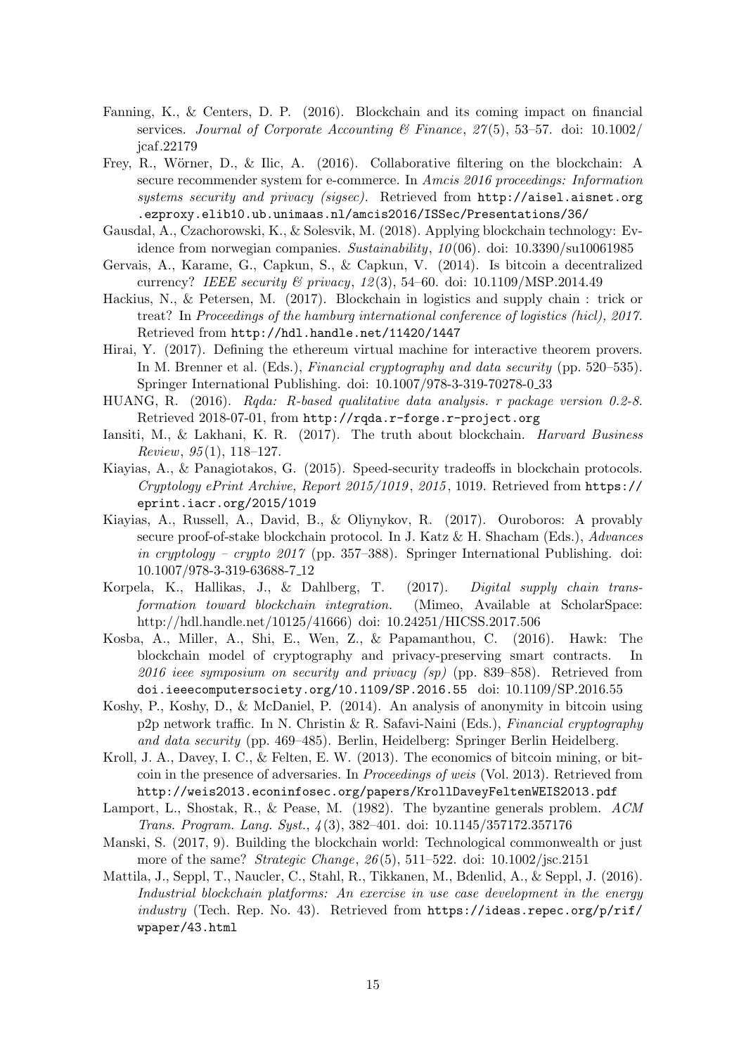- <span id="page-15-5"></span>Fanning, K., & Centers, D. P. (2016). Blockchain and its coming impact on financial services. Journal of Corporate Accounting  $\mathscr B$  Finance, 27(5), 53–57. doi: 10.1002/ jcaf.22179
- <span id="page-15-15"></span>Frey, R., Wörner, D., & Ilic, A. (2016). Collaborative filtering on the blockchain: A secure recommender system for e-commerce. In Amcis 2016 proceedings: Information systems security and privacy (sigsec). Retrieved from [http://aisel.aisnet.org](http://aisel.aisnet.org.ezproxy.elib10.ub.unimaas.nl/amcis2016/ISSec/Presentations/36/) [.ezproxy.elib10.ub.unimaas.nl/amcis2016/ISSec/Presentations/36/](http://aisel.aisnet.org.ezproxy.elib10.ub.unimaas.nl/amcis2016/ISSec/Presentations/36/)
- <span id="page-15-12"></span>Gausdal, A., Czachorowski, K., & Solesvik, M. (2018). Applying blockchain technology: Evidence from norwegian companies. Sustainability,  $10(06)$ . doi: 10.3390/su10061985
- <span id="page-15-8"></span>Gervais, A., Karame, G., Capkun, S., & Capkun, V. (2014). Is bitcoin a decentralized currency? IEEE security  $\mathcal{B}$  privacy, 12(3), 54–60. doi: 10.1109/MSP.2014.49
- <span id="page-15-16"></span>Hackius, N., & Petersen, M. (2017). Blockchain in logistics and supply chain : trick or treat? In Proceedings of the hamburg international conference of logistics (hicl), 2017. Retrieved from <http://hdl.handle.net/11420/1447>
- <span id="page-15-2"></span>Hirai, Y. (2017). Defining the ethereum virtual machine for interactive theorem provers. In M. Brenner et al. (Eds.), Financial cryptography and data security (pp. 520–535). Springer International Publishing. doi: 10.1007/978-3-319-70278-0 33
- <span id="page-15-11"></span>HUANG, R. (2016). Rqda: R-based qualitative data analysis. r package version 0.2-8. Retrieved 2018-07-01, from <http://rqda.r-forge.r-project.org>
- <span id="page-15-14"></span>Iansiti, M., & Lakhani, K. R. (2017). The truth about blockchain. Harvard Business Review,  $95(1)$ , 118-127.
- <span id="page-15-3"></span>Kiayias, A., & Panagiotakos, G. (2015). Speed-security tradeoffs in blockchain protocols. Cryptology ePrint Archive, Report 2015/1019 , 2015 , 1019. Retrieved from [https://](https://eprint.iacr.org/2015/1019) [eprint.iacr.org/2015/1019](https://eprint.iacr.org/2015/1019)
- <span id="page-15-10"></span>Kiayias, A., Russell, A., David, B., & Oliynykov, R. (2017). Ouroboros: A provably secure proof-of-stake blockchain protocol. In J. Katz & H. Shacham (Eds.), Advances in cryptology – crypto 2017 (pp. 357–388). Springer International Publishing. doi: 10.1007/978-3-319-63688-7 12
- <span id="page-15-0"></span>Korpela, K., Hallikas, J., & Dahlberg, T. (2017). Digital supply chain transformation toward blockchain integration. (Mimeo, Available at ScholarSpace: http://hdl.handle.net/10125/41666) doi: 10.24251/HICSS.2017.506
- <span id="page-15-7"></span>Kosba, A., Miller, A., Shi, E., Wen, Z., & Papamanthou, C. (2016). Hawk: The blockchain model of cryptography and privacy-preserving smart contracts. In 2016 ieee symposium on security and privacy (sp) (pp. 839–858). Retrieved from <doi.ieeecomputersociety.org/10.1109/SP.2016.55> doi: 10.1109/SP.2016.55
- <span id="page-15-1"></span>Koshy, P., Koshy, D., & McDaniel, P. (2014). An analysis of anonymity in bitcoin using p2p network traffic. In N. Christin & R. Safavi-Naini (Eds.), Financial cryptography and data security (pp. 469–485). Berlin, Heidelberg: Springer Berlin Heidelberg.
- <span id="page-15-9"></span>Kroll, J. A., Davey, I. C., & Felten, E. W. (2013). The economics of bitcoin mining, or bitcoin in the presence of adversaries. In Proceedings of weis (Vol. 2013). Retrieved from <http://weis2013.econinfosec.org/papers/KrollDaveyFeltenWEIS2013.pdf>
- <span id="page-15-4"></span>Lamport, L., Shostak, R., & Pease, M. (1982). The byzantine generals problem. ACM Trans. Program. Lang. Syst., 4 (3), 382–401. doi: 10.1145/357172.357176
- <span id="page-15-6"></span>Manski, S. (2017, 9). Building the blockchain world: Technological commonwealth or just more of the same? *Strategic Change*, 26(5), 511–522. doi: 10.1002/jsc.2151
- <span id="page-15-13"></span>Mattila, J., Seppl, T., Naucler, C., Stahl, R., Tikkanen, M., Bdenlid, A., & Seppl, J. (2016). Industrial blockchain platforms: An exercise in use case development in the energy industry (Tech. Rep. No. 43). Retrieved from [https://ideas.repec.org/p/rif/](https://ideas.repec.org/p/rif/wpaper/43.html) [wpaper/43.html](https://ideas.repec.org/p/rif/wpaper/43.html)